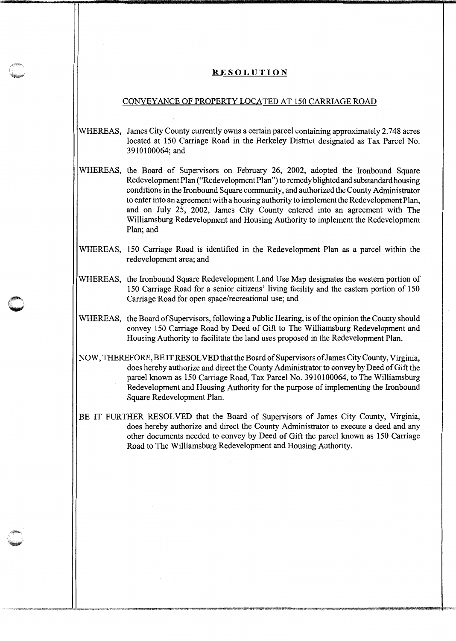## **RESOLUTION**

## CONVEYANCE OF PROPERTY LOCATED AT 150 CARRIAGE ROAD

- WHEREAS, James City County currently owns a certain parcel containing approximately 2.748 acres located at 150 Carriage Road in the Berkeley District designated as Tax Parcel No. 3910100064;and
- !WHEREAS, the Board of Supervisors on February 26, 2002, adopted the Ironbound Square Redevelopment Plan ("Redevelopment Plan") to remedy blighted and substandard housing conditions in the Ironbound Square community, and authorized the County Administrator to enter into an agreement with a housing authority to implement the Redevelopment Plan, and on July 25, 2002, James City County entered into an agreement with The Williamsburg Redevelopment and Housing Authority to implement the Redevelopment Plan; and
- WHEREAS, 150 Carriage Road is identified in the Redevelopment Plan as a parcel within the redevelopment area; and
- WHEREAS, the Ironbound Square Redevelopment Land Use Map designates the western portion of 150 Carriage Road for a senior citizens' living facility and the eastern portion of 150 Carriage Road for open space/recreational use; and

**c** 

! I

- WHEREAS, the Board of Supervisors, following a Public Hearing, is of the opinion the County should convey 150 Carriage Road by Deed of Gift to The Williamsburg Redevelopment and Housing Authority to facilitate the land uses proposed in the Redevelopment Plan.
- NOW, THEREFORE, BE IT RESOLVED that the Board of Supervisors of James City County, Virginia, does hereby authorize and direct the County Administrator to convey by Deed of Gift the parcel known as 150 Carriage Road, Tax Parcel No. 3910100064, to The Williamsburg Redevelopment and Housing Authority for the purpose of implementing the Ironbound Square Redevelopment Plan.
- BE IT FURTHER RESOLVED that the Board of Supervisors of James City County, Virginia, does hereby authorize and direct the County Administrator to execute a deed and any other documents needed to convey by Deed of Gift the parcel known as 150 Carriage Road to The Williamsburg Redevelopment and Housing Authority.